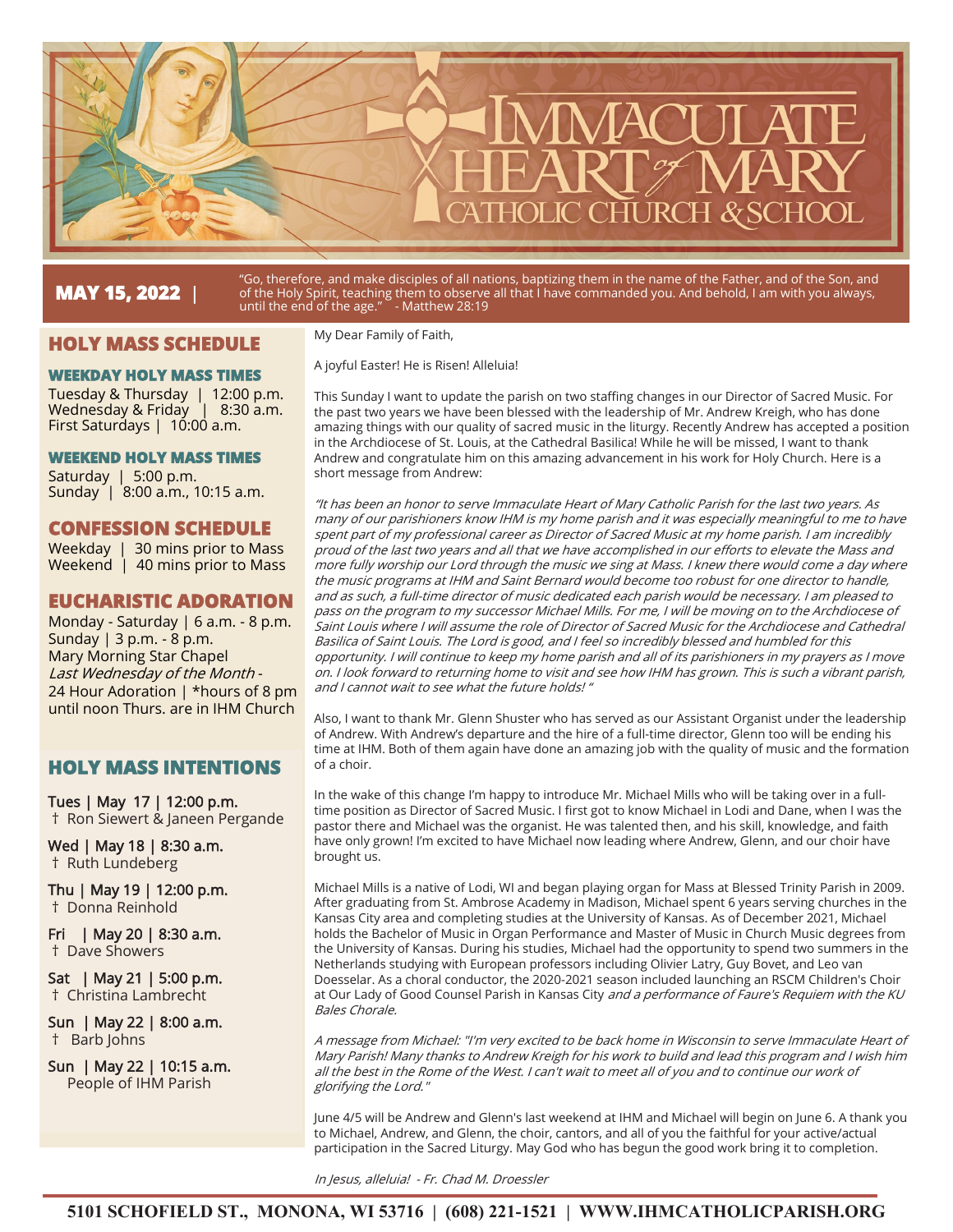

# **MAY 15, 2022** |

"Go, therefore, and make disciples of all nations, baptizing them in the name of the Father, and of the Son, and of the Holy Spirit, teaching them to observe all that I have commanded you. And behold, I am with you always, until the end of the age." - Matthew 28:19

## **HOLY MASS SCHEDULE**

#### **WEEKDAY HOLY MASS TIMES**

Tuesday & Thursday | 12:00 p.m. Wednesday & Friday | 8:30 a.m. First Saturdays | 10:00 a.m.

#### **WEEKEND HOLY MASS TIMES**

Saturday | 5:00 p.m. Sunday | 8:00 a.m., 10:15 a.m.

#### **CONFESSION SCHEDULE**

Weekday | 30 mins prior to Mass Weekend | 40 mins prior to Mass

## **EUCHARISTIC ADORATION**

Monday - Saturday | 6 a.m. - 8 p.m. Sunday | 3 p.m. - 8 p.m. Mary Morning Star Chapel Last Wednesday of the Month - 24 Hour Adoration | \*hours of 8 pm until noon Thurs. are in IHM Church

## **HOLY MASS INTENTIONS**

Tues | May 17 | 12:00 p.m. † Ron Siewert & Janeen Pergande

Wed | May 18 | 8:30 a.m. † Ruth Lundeberg

Thu | May 19 | 12:00 p.m. † Donna Reinhold

Fri | May 20 | 8:30 a.m. † Dave Showers

Sat | May 21 | 5:00 p.m. † Christina Lambrecht

Sun | May 22 | 8:00 a.m. † Barb Johns

Sun | May 22 | 10:15 a.m. People of IHM Parish

My Dear Family of Faith,

A joyful Easter! He is Risen! Alleluia!

This Sunday I want to update the parish on two staffing changes in our Director of Sacred Music. For the past two years we have been blessed with the leadership of Mr. Andrew Kreigh, who has done amazing things with our quality of sacred music in the liturgy. Recently Andrew has accepted a position in the Archdiocese of St. Louis, at the Cathedral Basilica! While he will be missed, I want to thank Andrew and congratulate him on this amazing advancement in his work for Holy Church. Here is a short message from Andrew:

"It has been an honor to serve Immaculate Heart of Mary Catholic Parish for the last two years. As many of our parishioners know IHM is my home parish and it was especially meaningful to me to have spent part of my professional career as Director of Sacred Music at my home parish. I am incredibly proud of the last two years and all that we have accomplished in our efforts to elevate the Mass and more fully worship our Lord through the music we sing at Mass. I knew there would come a day where the music programs at IHM and Saint Bernard would become too robust for one director to handle, and as such, a full-time director of music dedicated each parish would be necessary. I am pleased to pass on the program to my successor Michael Mills. For me, I will be moving on to the Archdiocese of Saint Louis where I will assume the role of Director of Sacred Music for the Archdiocese and Cathedral Basilica of Saint Louis. The Lord is good, and I feel so incredibly blessed and humbled for this opportunity. I will continue to keep my home parish and all of its parishioners in my prayers as I move on. I look forward to returning home to visit and see how IHM has grown. This is such a vibrant parish, and I cannot wait to see what the future holds! "

Also, I want to thank Mr. Glenn Shuster who has served as our Assistant Organist under the leadership of Andrew. With Andrew's departure and the hire of a full-time director, Glenn too will be ending his time at IHM. Both of them again have done an amazing job with the quality of music and the formation of a choir.

In the wake of this change I'm happy to introduce Mr. Michael Mills who will be taking over in a fulltime position as Director of Sacred Music. I first got to know Michael in Lodi and Dane, when I was the pastor there and Michael was the organist. He was talented then, and his skill, knowledge, and faith have only grown! I'm excited to have Michael now leading where Andrew, Glenn, and our choir have brought us.

Michael Mills is a native of Lodi, WI and began playing organ for Mass at Blessed Trinity Parish in 2009. After graduating from St. Ambrose Academy in Madison, Michael spent 6 years serving churches in the Kansas City area and completing studies at the University of Kansas. As of December 2021, Michael holds the Bachelor of Music in Organ Performance and Master of Music in Church Music degrees from the University of Kansas. During his studies, Michael had the opportunity to spend two summers in the Netherlands studying with European professors including Olivier Latry, Guy Bovet, and Leo van Doesselar. As a choral conductor, the 2020-2021 season included launching an RSCM Children's Choir at Our Lady of Good Counsel Parish in Kansas City and a performance of Faure's Requiem with the KU Bales Chorale.

A message from Michael: "I'm very excited to be back home in Wisconsin to serve Immaculate Heart of Mary Parish! Many thanks to Andrew Kreigh for his work to build and lead this program and I wish him all the best in the Rome of the West. I can't wait to meet all of you and to continue our work of glorifying the Lord."

June 4/5 will be Andrew and Glenn's last weekend at IHM and Michael will begin on June 6. A thank you to Michael, Andrew, and Glenn, the choir, cantors, and all of you the faithful for your active/actual participation in the Sacred Liturgy. May God who has begun the good work bring it to completion.

In Jesus, alleluia! - Fr. Chad M. Droessler